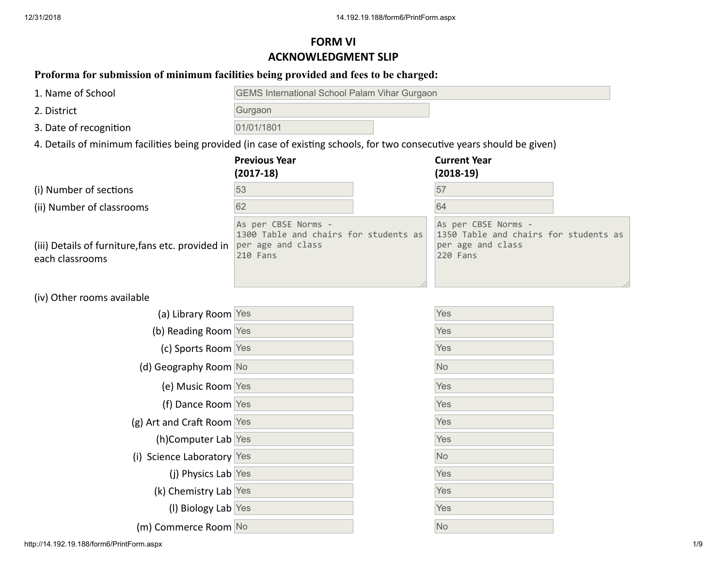# **FORM VI ACKNOWLEDGMENT SLIP**

## **Proforma for submission of minimum facilities being provided and fees to be charged:**

| 1. Name of School                                                                                                        | <b>GEMS International School Palam Vihar Gurgaon</b>                                          |  |                                                                                               |  |  |
|--------------------------------------------------------------------------------------------------------------------------|-----------------------------------------------------------------------------------------------|--|-----------------------------------------------------------------------------------------------|--|--|
| 2. District                                                                                                              | Gurgaon                                                                                       |  |                                                                                               |  |  |
| 3. Date of recognition                                                                                                   | 01/01/1801                                                                                    |  |                                                                                               |  |  |
| 4. Details of minimum facilities being provided (in case of existing schools, for two consecutive years should be given) |                                                                                               |  |                                                                                               |  |  |
|                                                                                                                          | <b>Previous Year</b><br>$(2017-18)$                                                           |  | <b>Current Year</b><br>$(2018-19)$                                                            |  |  |
| (i) Number of sections                                                                                                   | 53                                                                                            |  | 57                                                                                            |  |  |
| (ii) Number of classrooms                                                                                                | 62                                                                                            |  | 64                                                                                            |  |  |
| (iii) Details of furniture, fans etc. provided in<br>each classrooms                                                     | As per CBSE Norms -<br>1300 Table and chairs for students as<br>per age and class<br>210 Fans |  | As per CBSE Norms -<br>1350 Table and chairs for students as<br>per age and class<br>220 Fans |  |  |
| (iv) Other rooms available                                                                                               |                                                                                               |  |                                                                                               |  |  |

| (a) Library Room Yes              |  | <b>Yes</b> |
|-----------------------------------|--|------------|
| (b) Reading Room Yes              |  | Yes        |
| (c) Sports Room Yes               |  | Yes        |
| (d) Geography Room No             |  | No         |
| (e) Music Room Yes                |  | Yes        |
| (f) Dance Room Yes                |  | Yes        |
| (g) Art and Craft Room Yes        |  | Yes        |
| (h)Computer Lab Yes               |  | Yes        |
| (i) Science Laboratory Yes        |  | No         |
| (i) Physics Lab Yes               |  | Yes        |
| (k) Chemistry Lab Yes             |  | Yes        |
| (I) Biology Lab Yes               |  | Yes        |
| (m) Commerce Room <mark>No</mark> |  | <b>No</b>  |

| Yes |  |
|-----|--|
| Yes |  |
| Yes |  |
| No  |  |
| Yes |  |
| Yes |  |
| Yes |  |
| Yes |  |
| No  |  |
| Yes |  |
| Yes |  |
| Yes |  |
| No  |  |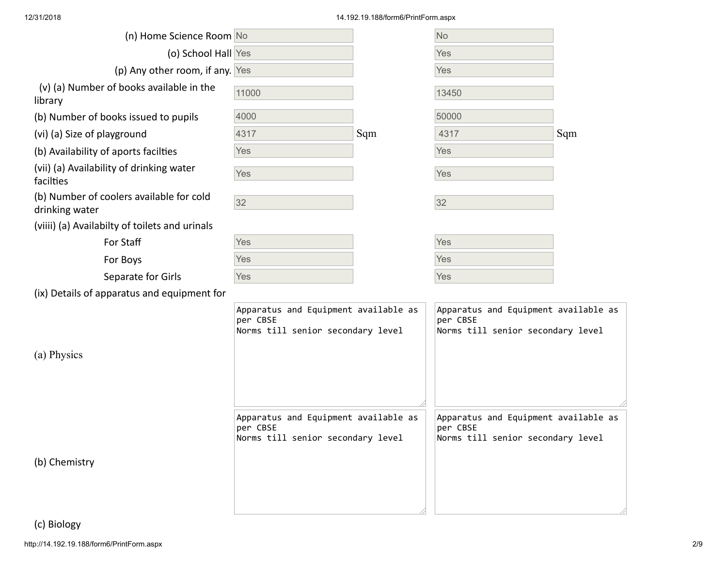### 12/31/2018 14.192.19.188/form6/PrintForm.aspx

| (o) School Hall Yes                                                                   |     | Yes                                                                       |                                                                                                                                                        |
|---------------------------------------------------------------------------------------|-----|---------------------------------------------------------------------------|--------------------------------------------------------------------------------------------------------------------------------------------------------|
| (p) Any other room, if any. Yes                                                       |     | <b>Yes</b>                                                                |                                                                                                                                                        |
| 11000                                                                                 |     | 13450                                                                     |                                                                                                                                                        |
| 4000                                                                                  |     | 50000                                                                     |                                                                                                                                                        |
| 4317                                                                                  | Sqm | 4317                                                                      | Sqm                                                                                                                                                    |
| Yes                                                                                   |     | <b>Yes</b>                                                                |                                                                                                                                                        |
| Yes                                                                                   |     | Yes                                                                       |                                                                                                                                                        |
| 32                                                                                    |     | 32                                                                        |                                                                                                                                                        |
|                                                                                       |     |                                                                           |                                                                                                                                                        |
| Yes                                                                                   |     | Yes                                                                       |                                                                                                                                                        |
| Yes                                                                                   |     | <b>Yes</b>                                                                |                                                                                                                                                        |
| Yes                                                                                   |     | <b>Yes</b>                                                                |                                                                                                                                                        |
|                                                                                       |     |                                                                           |                                                                                                                                                        |
| Apparatus and Equipment available as<br>per CBSE<br>Norms till senior secondary level |     | per CBSE                                                                  |                                                                                                                                                        |
|                                                                                       |     |                                                                           |                                                                                                                                                        |
| per CBSE                                                                              |     | per CBSE                                                                  |                                                                                                                                                        |
|                                                                                       |     |                                                                           |                                                                                                                                                        |
|                                                                                       |     | Apparatus and Equipment available as<br>Norms till senior secondary level | Apparatus and Equipment available as<br>Norms till senior secondary level<br>Apparatus and Equipment available as<br>Norms till senior secondary level |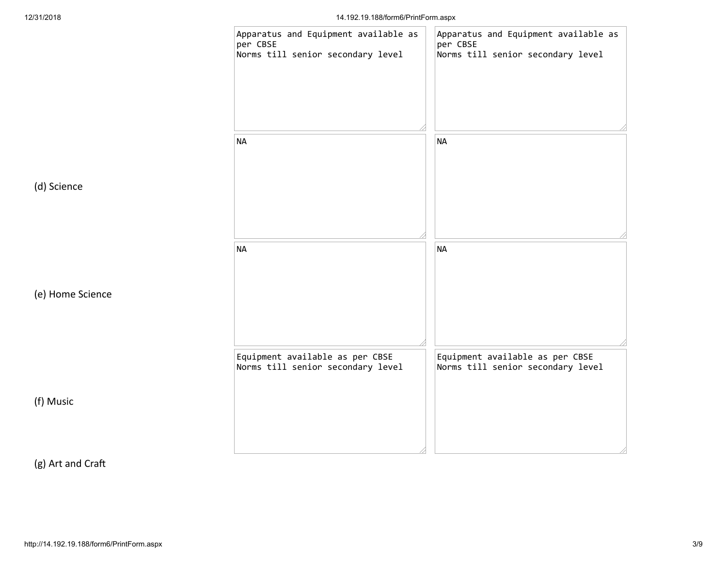

(g) Art and Cra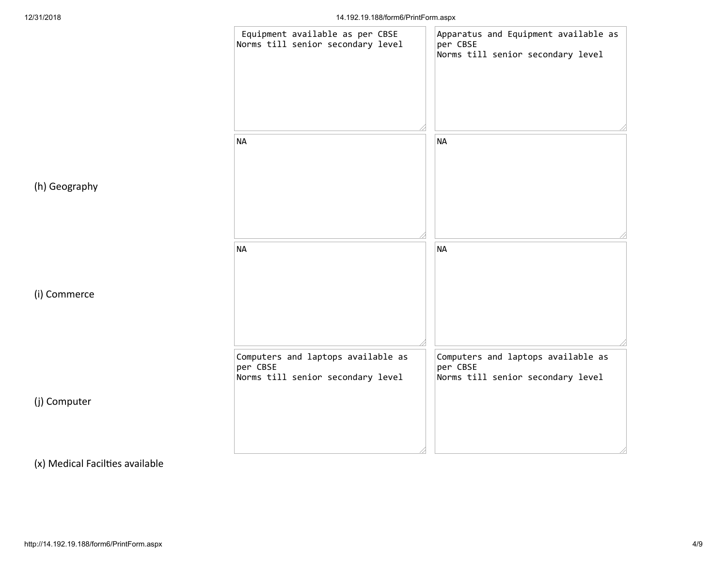

(x) Medical Facilties available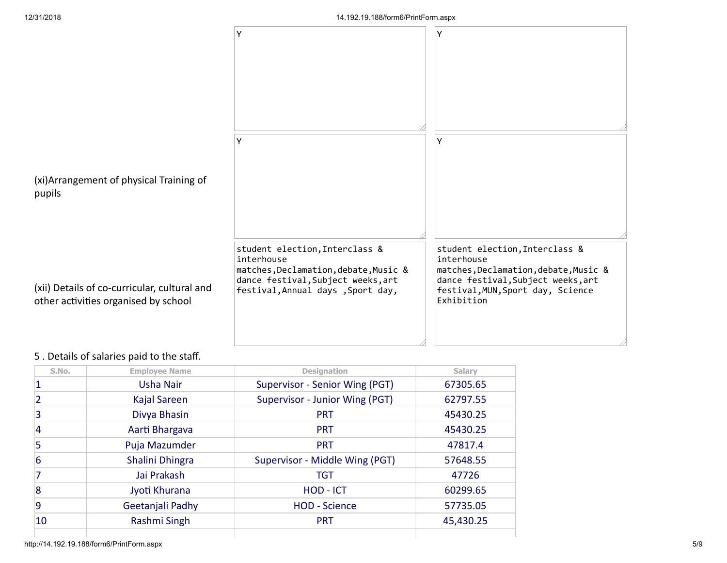

### 5 . Details of salaries paid to the staff.

| S.No. | <b>Employee Name</b> | <b>Designation</b>             | Salary    |
|-------|----------------------|--------------------------------|-----------|
|       | <b>Usha Nair</b>     | Supervisor - Senior Wing (PGT) | 67305.65  |
|       | Kajal Sareen         | Supervisor - Junior Wing (PGT) | 62797.55  |
| 3     | Divya Bhasin         | <b>PRT</b>                     | 45430.25  |
| 4     | Aarti Bhargava       | <b>PRT</b>                     | 45430.25  |
| 5     | Puja Mazumder        | <b>PRT</b>                     | 47817.4   |
| 6     | Shalini Dhingra      | Supervisor - Middle Wing (PGT) | 57648.55  |
|       | Jai Prakash          | <b>TGT</b>                     | 47726     |
| 8     | Jyoti Khurana        | HOD - ICT                      | 60299.65  |
| 9     | Geetanjali Padhy     | <b>HOD - Science</b>           | 57735.05  |
| 10    | Rashmi Singh         | <b>PRT</b>                     | 45,430.25 |
|       |                      |                                |           |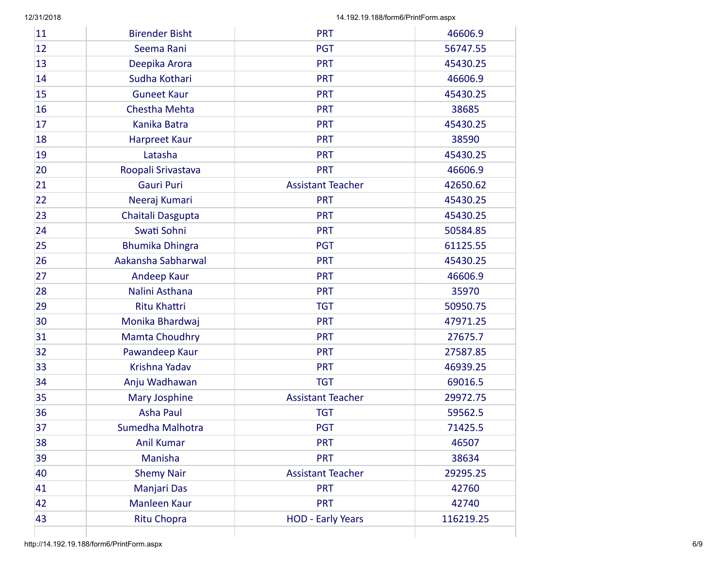| 11 | <b>Birender Bisht</b>  | <b>PRT</b>               | 46606.9   |
|----|------------------------|--------------------------|-----------|
| 12 | Seema Rani             | <b>PGT</b>               | 56747.55  |
| 13 | Deepika Arora          | <b>PRT</b>               | 45430.25  |
| 14 | Sudha Kothari          | <b>PRT</b>               | 46606.9   |
| 15 | <b>Guneet Kaur</b>     | <b>PRT</b>               | 45430.25  |
| 16 | <b>Chestha Mehta</b>   | <b>PRT</b>               | 38685     |
| 17 | Kanika Batra           | <b>PRT</b>               | 45430.25  |
| 18 | <b>Harpreet Kaur</b>   | <b>PRT</b>               | 38590     |
| 19 | Latasha                | <b>PRT</b>               | 45430.25  |
| 20 | Roopali Srivastava     | <b>PRT</b>               | 46606.9   |
| 21 | <b>Gauri Puri</b>      | <b>Assistant Teacher</b> | 42650.62  |
| 22 | Neeraj Kumari          | <b>PRT</b>               | 45430.25  |
| 23 | Chaitali Dasgupta      | <b>PRT</b>               | 45430.25  |
| 24 | Swati Sohni            | <b>PRT</b>               | 50584.85  |
| 25 | <b>Bhumika Dhingra</b> | <b>PGT</b>               | 61125.55  |
| 26 | Aakansha Sabharwal     | <b>PRT</b>               | 45430.25  |
| 27 | Andeep Kaur            | <b>PRT</b>               | 46606.9   |
| 28 | Nalini Asthana         | <b>PRT</b>               | 35970     |
| 29 | <b>Ritu Khattri</b>    | <b>TGT</b>               | 50950.75  |
| 30 | Monika Bhardwaj        | <b>PRT</b>               | 47971.25  |
| 31 | <b>Mamta Choudhry</b>  | <b>PRT</b>               | 27675.7   |
| 32 | Pawandeep Kaur         | <b>PRT</b>               | 27587.85  |
| 33 | Krishna Yadav          | <b>PRT</b>               | 46939.25  |
| 34 | Anju Wadhawan          | <b>TGT</b>               | 69016.5   |
| 35 | <b>Mary Josphine</b>   | <b>Assistant Teacher</b> | 29972.75  |
| 36 | <b>Asha Paul</b>       | <b>TGT</b>               | 59562.5   |
| 37 | Sumedha Malhotra       | <b>PGT</b>               | 71425.5   |
| 38 | <b>Anil Kumar</b>      | <b>PRT</b>               | 46507     |
| 39 | Manisha                | <b>PRT</b>               | 38634     |
| 40 | <b>Shemy Nair</b>      | <b>Assistant Teacher</b> | 29295.25  |
| 41 | Manjari Das            | <b>PRT</b>               | 42760     |
| 42 | Manleen Kaur           | <b>PRT</b>               | 42740     |
| 43 | <b>Ritu Chopra</b>     | <b>HOD - Early Years</b> | 116219.25 |
|    |                        |                          |           |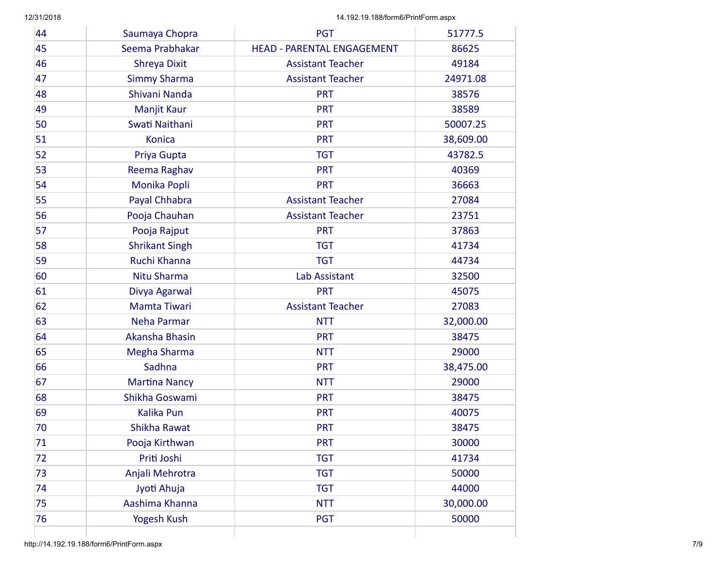| 44 | Saumaya Chopra        | <b>PGT</b>                        | 51777.5   |
|----|-----------------------|-----------------------------------|-----------|
| 45 | Seema Prabhakar       | <b>HEAD - PARENTAL ENGAGEMENT</b> | 86625     |
| 46 | Shreya Dixit          | <b>Assistant Teacher</b>          | 49184     |
| 47 | <b>Simmy Sharma</b>   | <b>Assistant Teacher</b>          | 24971.08  |
| 48 | Shivani Nanda         | <b>PRT</b>                        | 38576     |
| 49 | Manjit Kaur           | <b>PRT</b>                        | 38589     |
| 50 | Swati Naithani        | <b>PRT</b>                        | 50007.25  |
| 51 | <b>Konica</b>         | <b>PRT</b>                        | 38,609.00 |
| 52 | Priya Gupta           | <b>TGT</b>                        | 43782.5   |
| 53 | Reema Raghav          | <b>PRT</b>                        | 40369     |
| 54 | Monika Popli          | <b>PRT</b>                        | 36663     |
| 55 | Payal Chhabra         | <b>Assistant Teacher</b>          | 27084     |
| 56 | Pooja Chauhan         | <b>Assistant Teacher</b>          | 23751     |
| 57 | Pooja Rajput          | <b>PRT</b>                        | 37863     |
| 58 | <b>Shrikant Singh</b> | <b>TGT</b>                        | 41734     |
| 59 | Ruchi Khanna          | <b>TGT</b>                        | 44734     |
| 60 | Nitu Sharma           | Lab Assistant                     | 32500     |
| 61 | Divya Agarwal         | <b>PRT</b>                        | 45075     |
| 62 | Mamta Tiwari          | <b>Assistant Teacher</b>          | 27083     |
| 63 | Neha Parmar           | <b>NTT</b>                        | 32,000.00 |
| 64 | Akansha Bhasin        | <b>PRT</b>                        | 38475     |
| 65 | Megha Sharma          | <b>NTT</b>                        | 29000     |
| 66 | Sadhna                | <b>PRT</b>                        | 38,475.00 |
| 67 | <b>Martina Nancy</b>  | <b>NTT</b>                        | 29000     |
| 68 | Shikha Goswami        | <b>PRT</b>                        | 38475     |
| 69 | <b>Kalika Pun</b>     | <b>PRT</b>                        | 40075     |
| 70 | Shikha Rawat          | <b>PRT</b>                        | 38475     |
| 71 | Pooja Kirthwan        | <b>PRT</b>                        | 30000     |
| 72 | Priti Joshi           | <b>TGT</b>                        | 41734     |
| 73 | Anjali Mehrotra       | <b>TGT</b>                        | 50000     |
| 74 | Jyoti Ahuja           | <b>TGT</b>                        | 44000     |
| 75 | Aashima Khanna        | <b>NTT</b>                        | 30,000.00 |
| 76 | Yogesh Kush           | <b>PGT</b>                        | 50000     |
|    |                       |                                   |           |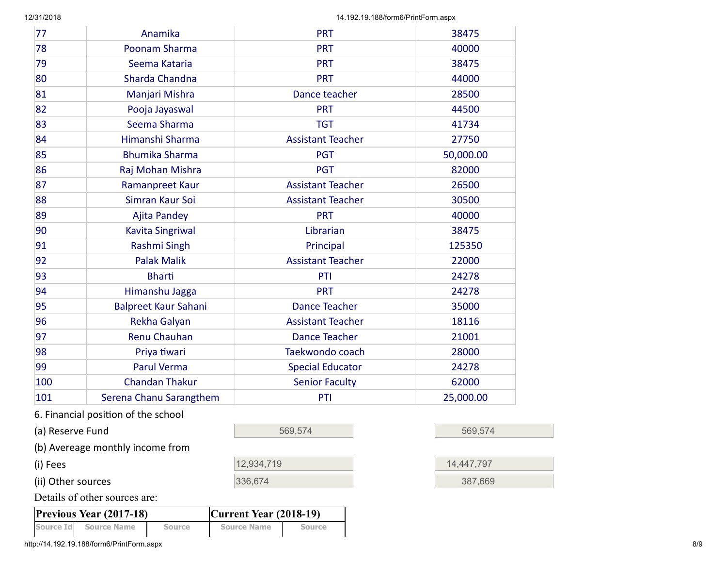12/31/2018 14.192.19.188/form6/PrintForm.aspx

| 77               | Anamika                             | <b>PRT</b>               | 38475     |
|------------------|-------------------------------------|--------------------------|-----------|
| 78               | Poonam Sharma                       | <b>PRT</b>               | 40000     |
| 79               | Seema Kataria                       | <b>PRT</b>               | 38475     |
| 80               | Sharda Chandna                      | <b>PRT</b>               | 44000     |
| 81               | Manjari Mishra                      | Dance teacher            | 28500     |
| 82               | Pooja Jayaswal                      | <b>PRT</b>               | 44500     |
| 83               | Seema Sharma                        | <b>TGT</b>               | 41734     |
| 84               | Himanshi Sharma                     | <b>Assistant Teacher</b> | 27750     |
| 85               | <b>Bhumika Sharma</b>               | <b>PGT</b>               | 50,000.00 |
| 86               | Raj Mohan Mishra                    | <b>PGT</b>               | 82000     |
| 87               | <b>Ramanpreet Kaur</b>              | <b>Assistant Teacher</b> | 26500     |
| 88               | Simran Kaur Soi                     | <b>Assistant Teacher</b> | 30500     |
| 89               | <b>Ajita Pandey</b>                 | <b>PRT</b>               | 40000     |
| 90               | <b>Kavita Singriwal</b>             | Librarian                | 38475     |
| 91               | Rashmi Singh                        | Principal                | 125350    |
| 92               | <b>Palak Malik</b>                  | <b>Assistant Teacher</b> | 22000     |
| 93               | <b>Bharti</b>                       | PTI                      | 24278     |
| 94               | Himanshu Jagga                      | <b>PRT</b>               | 24278     |
| 95               | <b>Balpreet Kaur Sahani</b>         | <b>Dance Teacher</b>     | 35000     |
| 96               | Rekha Galyan                        | <b>Assistant Teacher</b> | 18116     |
| 97               | <b>Renu Chauhan</b>                 | <b>Dance Teacher</b>     | 21001     |
| 98               | Priya tiwari                        | Taekwondo coach          | 28000     |
| 99               | <b>Parul Verma</b>                  | <b>Special Educator</b>  | 24278     |
| 100              | <b>Chandan Thakur</b>               | <b>Senior Faculty</b>    | 62000     |
| 101              | Serena Chanu Sarangthem             | PTI                      | 25,000.00 |
|                  | 6. Financial position of the school |                          |           |
| (a) Reserve Fund |                                     | 569,574                  | 569,574   |
|                  | (b) Avereage monthly income from    |                          |           |

| (i) Fees           | 12,934,719 | 14.447.797 |
|--------------------|------------|------------|
| (ii) Other sources | 336,674    | 387,669    |

Details of other sources are:

| <b>Previous Year (2017-18)</b> |                       |        | $ Current Year (2018-19) $ |        |  |
|--------------------------------|-----------------------|--------|----------------------------|--------|--|
|                                | Source Id Source Name | Source | <b>Source Name</b>         | Source |  |